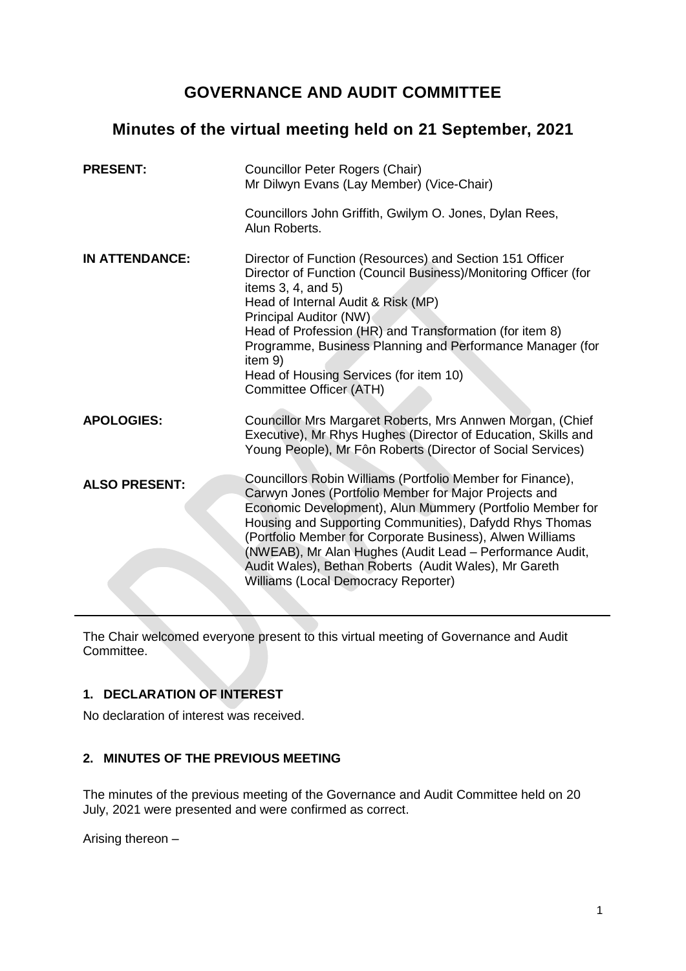# **GOVERNANCE AND AUDIT COMMITTEE**

# **Minutes of the virtual meeting held on 21 September, 2021**

| <b>PRESENT:</b>       | <b>Councillor Peter Rogers (Chair)</b><br>Mr Dilwyn Evans (Lay Member) (Vice-Chair)                                                                                                                                                                                                                                                                                                                                                                                  |
|-----------------------|----------------------------------------------------------------------------------------------------------------------------------------------------------------------------------------------------------------------------------------------------------------------------------------------------------------------------------------------------------------------------------------------------------------------------------------------------------------------|
|                       | Councillors John Griffith, Gwilym O. Jones, Dylan Rees,<br>Alun Roberts.                                                                                                                                                                                                                                                                                                                                                                                             |
| <b>IN ATTENDANCE:</b> | Director of Function (Resources) and Section 151 Officer<br>Director of Function (Council Business)/Monitoring Officer (for<br>items $3, 4$ , and $5)$<br>Head of Internal Audit & Risk (MP)<br>Principal Auditor (NW)<br>Head of Profession (HR) and Transformation (for item 8)<br>Programme, Business Planning and Performance Manager (for<br>item 9)<br>Head of Housing Services (for item 10)<br>Committee Officer (ATH)                                       |
| <b>APOLOGIES:</b>     | Councillor Mrs Margaret Roberts, Mrs Annwen Morgan, (Chief<br>Executive), Mr Rhys Hughes (Director of Education, Skills and<br>Young People), Mr Fôn Roberts (Director of Social Services)                                                                                                                                                                                                                                                                           |
| <b>ALSO PRESENT:</b>  | Councillors Robin Williams (Portfolio Member for Finance),<br>Carwyn Jones (Portfolio Member for Major Projects and<br>Economic Development), Alun Mummery (Portfolio Member for<br>Housing and Supporting Communities), Dafydd Rhys Thomas<br>(Portfolio Member for Corporate Business), Alwen Williams<br>(NWEAB), Mr Alan Hughes (Audit Lead - Performance Audit,<br>Audit Wales), Bethan Roberts (Audit Wales), Mr Gareth<br>Williams (Local Democracy Reporter) |

The Chair welcomed everyone present to this virtual meeting of Governance and Audit Committee.

# **1. DECLARATION OF INTEREST**

No declaration of interest was received.

# **2. MINUTES OF THE PREVIOUS MEETING**

The minutes of the previous meeting of the Governance and Audit Committee held on 20 July, 2021 were presented and were confirmed as correct.

Arising thereon –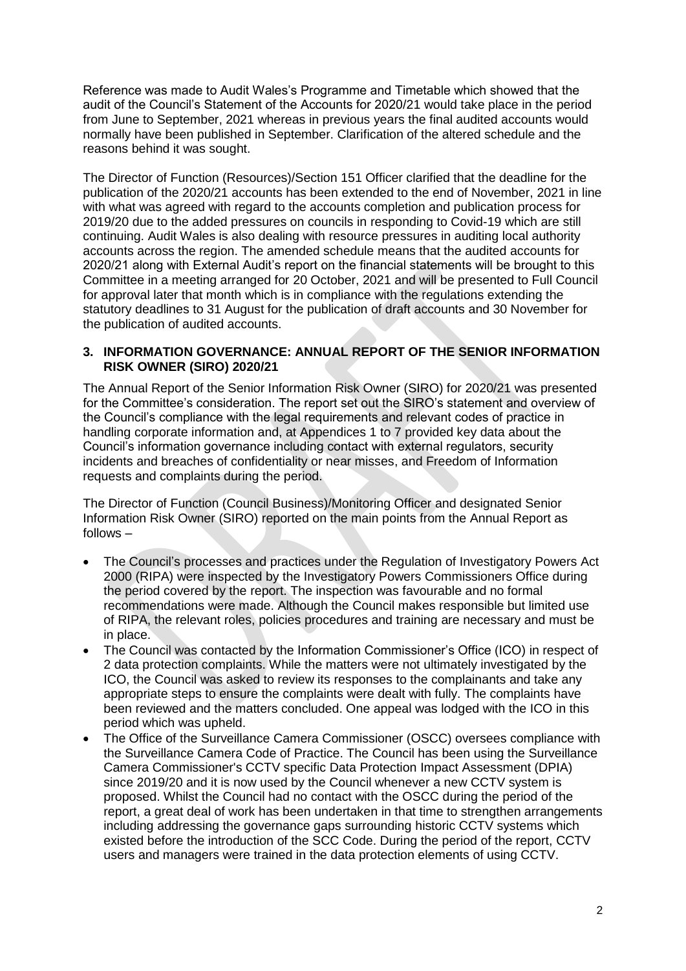Reference was made to Audit Wales's Programme and Timetable which showed that the audit of the Council's Statement of the Accounts for 2020/21 would take place in the period from June to September, 2021 whereas in previous years the final audited accounts would normally have been published in September. Clarification of the altered schedule and the reasons behind it was sought.

The Director of Function (Resources)/Section 151 Officer clarified that the deadline for the publication of the 2020/21 accounts has been extended to the end of November, 2021 in line with what was agreed with regard to the accounts completion and publication process for 2019/20 due to the added pressures on councils in responding to Covid-19 which are still continuing. Audit Wales is also dealing with resource pressures in auditing local authority accounts across the region. The amended schedule means that the audited accounts for 2020/21 along with External Audit's report on the financial statements will be brought to this Committee in a meeting arranged for 20 October, 2021 and will be presented to Full Council for approval later that month which is in compliance with the regulations extending the statutory deadlines to 31 August for the publication of draft accounts and 30 November for the publication of audited accounts.

## **3. INFORMATION GOVERNANCE: ANNUAL REPORT OF THE SENIOR INFORMATION RISK OWNER (SIRO) 2020/21**

The Annual Report of the Senior Information Risk Owner (SIRO) for 2020/21 was presented for the Committee's consideration. The report set out the SIRO's statement and overview of the Council's compliance with the legal requirements and relevant codes of practice in handling corporate information and, at Appendices 1 to 7 provided key data about the Council's information governance including contact with external regulators, security incidents and breaches of confidentiality or near misses, and Freedom of Information requests and complaints during the period.

The Director of Function (Council Business)/Monitoring Officer and designated Senior Information Risk Owner (SIRO) reported on the main points from the Annual Report as follows –

- The Council's processes and practices under the Regulation of Investigatory Powers Act 2000 (RIPA) were inspected by the Investigatory Powers Commissioners Office during the period covered by the report. The inspection was favourable and no formal recommendations were made. Although the Council makes responsible but limited use of RIPA, the relevant roles, policies procedures and training are necessary and must be in place.
- The Council was contacted by the Information Commissioner's Office (ICO) in respect of 2 data protection complaints. While the matters were not ultimately investigated by the ICO, the Council was asked to review its responses to the complainants and take any appropriate steps to ensure the complaints were dealt with fully. The complaints have been reviewed and the matters concluded. One appeal was lodged with the ICO in this period which was upheld.
- The Office of the Surveillance Camera Commissioner (OSCC) oversees compliance with the Surveillance Camera Code of Practice. The Council has been using the Surveillance Camera Commissioner's CCTV specific Data Protection Impact Assessment (DPIA) since 2019/20 and it is now used by the Council whenever a new CCTV system is proposed. Whilst the Council had no contact with the OSCC during the period of the report, a great deal of work has been undertaken in that time to strengthen arrangements including addressing the governance gaps surrounding historic CCTV systems which existed before the introduction of the SCC Code. During the period of the report, CCTV users and managers were trained in the data protection elements of using CCTV.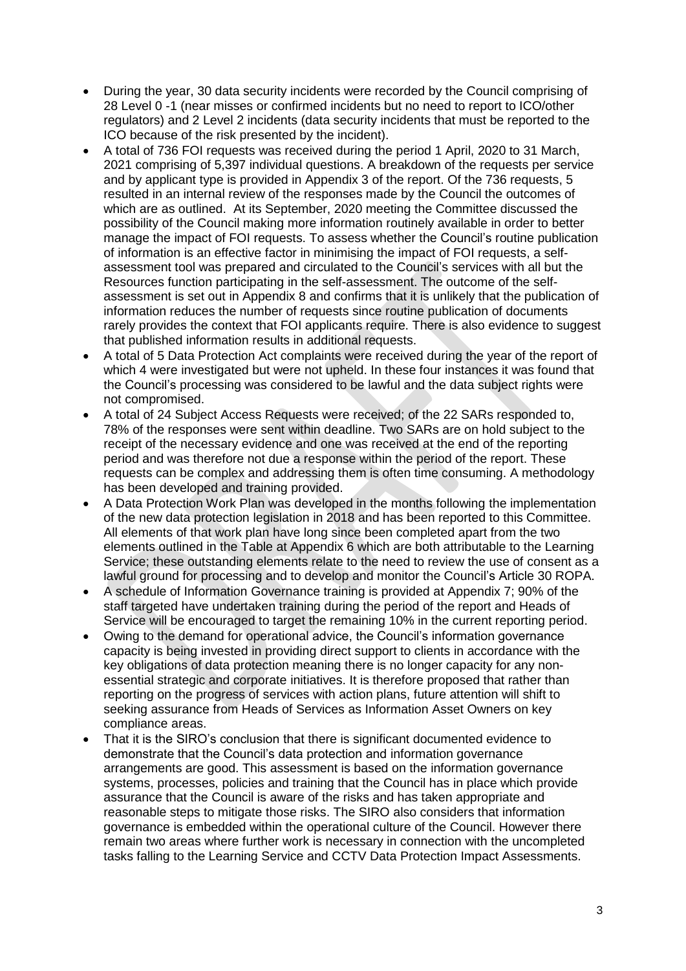- During the year, 30 data security incidents were recorded by the Council comprising of 28 Level 0 -1 (near misses or confirmed incidents but no need to report to ICO/other regulators) and 2 Level 2 incidents (data security incidents that must be reported to the ICO because of the risk presented by the incident).
- A total of 736 FOI requests was received during the period 1 April, 2020 to 31 March, 2021 comprising of 5,397 individual questions. A breakdown of the requests per service and by applicant type is provided in Appendix 3 of the report. Of the 736 requests, 5 resulted in an internal review of the responses made by the Council the outcomes of which are as outlined. At its September, 2020 meeting the Committee discussed the possibility of the Council making more information routinely available in order to better manage the impact of FOI requests. To assess whether the Council's routine publication of information is an effective factor in minimising the impact of FOI requests, a selfassessment tool was prepared and circulated to the Council's services with all but the Resources function participating in the self-assessment. The outcome of the selfassessment is set out in Appendix 8 and confirms that it is unlikely that the publication of information reduces the number of requests since routine publication of documents rarely provides the context that FOI applicants require. There is also evidence to suggest that published information results in additional requests.
- A total of 5 Data Protection Act complaints were received during the year of the report of which 4 were investigated but were not upheld. In these four instances it was found that the Council's processing was considered to be lawful and the data subject rights were not compromised.
- A total of 24 Subject Access Requests were received; of the 22 SARs responded to, 78% of the responses were sent within deadline. Two SARs are on hold subject to the receipt of the necessary evidence and one was received at the end of the reporting period and was therefore not due a response within the period of the report. These requests can be complex and addressing them is often time consuming. A methodology has been developed and training provided.
- A Data Protection Work Plan was developed in the months following the implementation of the new data protection legislation in 2018 and has been reported to this Committee. All elements of that work plan have long since been completed apart from the two elements outlined in the Table at Appendix 6 which are both attributable to the Learning Service; these outstanding elements relate to the need to review the use of consent as a lawful ground for processing and to develop and monitor the Council's Article 30 ROPA.
- A schedule of Information Governance training is provided at Appendix 7; 90% of the staff targeted have undertaken training during the period of the report and Heads of Service will be encouraged to target the remaining 10% in the current reporting period.
- Owing to the demand for operational advice, the Council's information governance capacity is being invested in providing direct support to clients in accordance with the key obligations of data protection meaning there is no longer capacity for any nonessential strategic and corporate initiatives. It is therefore proposed that rather than reporting on the progress of services with action plans, future attention will shift to seeking assurance from Heads of Services as Information Asset Owners on key compliance areas.
- That it is the SIRO's conclusion that there is significant documented evidence to demonstrate that the Council's data protection and information governance arrangements are good. This assessment is based on the information governance systems, processes, policies and training that the Council has in place which provide assurance that the Council is aware of the risks and has taken appropriate and reasonable steps to mitigate those risks. The SIRO also considers that information governance is embedded within the operational culture of the Council. However there remain two areas where further work is necessary in connection with the uncompleted tasks falling to the Learning Service and CCTV Data Protection Impact Assessments.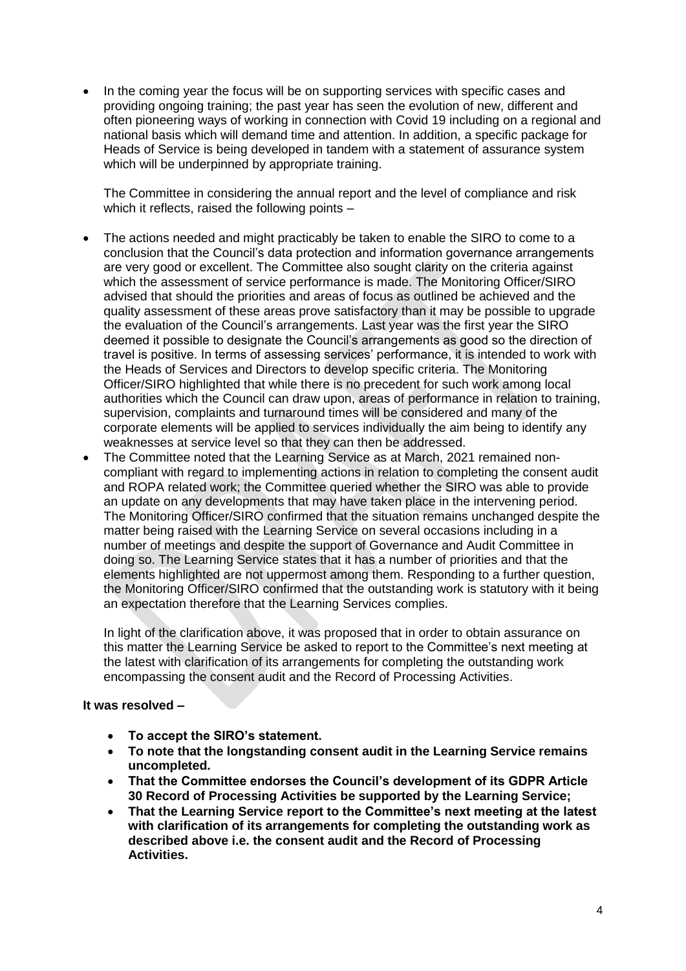In the coming year the focus will be on supporting services with specific cases and providing ongoing training; the past year has seen the evolution of new, different and often pioneering ways of working in connection with Covid 19 including on a regional and national basis which will demand time and attention. In addition, a specific package for Heads of Service is being developed in tandem with a statement of assurance system which will be underpinned by appropriate training.

The Committee in considering the annual report and the level of compliance and risk which it reflects, raised the following points –

- The actions needed and might practicably be taken to enable the SIRO to come to a conclusion that the Council's data protection and information governance arrangements are very good or excellent. The Committee also sought clarity on the criteria against which the assessment of service performance is made. The Monitoring Officer/SIRO advised that should the priorities and areas of focus as outlined be achieved and the quality assessment of these areas prove satisfactory than it may be possible to upgrade the evaluation of the Council's arrangements. Last year was the first year the SIRO deemed it possible to designate the Council's arrangements as good so the direction of travel is positive. In terms of assessing services' performance, it is intended to work with the Heads of Services and Directors to develop specific criteria. The Monitoring Officer/SIRO highlighted that while there is no precedent for such work among local authorities which the Council can draw upon, areas of performance in relation to training, supervision, complaints and turnaround times will be considered and many of the corporate elements will be applied to services individually the aim being to identify any weaknesses at service level so that they can then be addressed.
- The Committee noted that the Learning Service as at March, 2021 remained noncompliant with regard to implementing actions in relation to completing the consent audit and ROPA related work; the Committee queried whether the SIRO was able to provide an update on any developments that may have taken place in the intervening period. The Monitoring Officer/SIRO confirmed that the situation remains unchanged despite the matter being raised with the Learning Service on several occasions including in a number of meetings and despite the support of Governance and Audit Committee in doing so. The Learning Service states that it has a number of priorities and that the elements highlighted are not uppermost among them. Responding to a further question, the Monitoring Officer/SIRO confirmed that the outstanding work is statutory with it being an expectation therefore that the Learning Services complies.

In light of the clarification above, it was proposed that in order to obtain assurance on this matter the Learning Service be asked to report to the Committee's next meeting at the latest with clarification of its arrangements for completing the outstanding work encompassing the consent audit and the Record of Processing Activities.

#### **It was resolved –**

- **To accept the SIRO's statement.**
- **To note that the longstanding consent audit in the Learning Service remains uncompleted.**
- **That the Committee endorses the Council's development of its GDPR Article 30 Record of Processing Activities be supported by the Learning Service;**
- **That the Learning Service report to the Committee's next meeting at the latest with clarification of its arrangements for completing the outstanding work as described above i.e. the consent audit and the Record of Processing Activities.**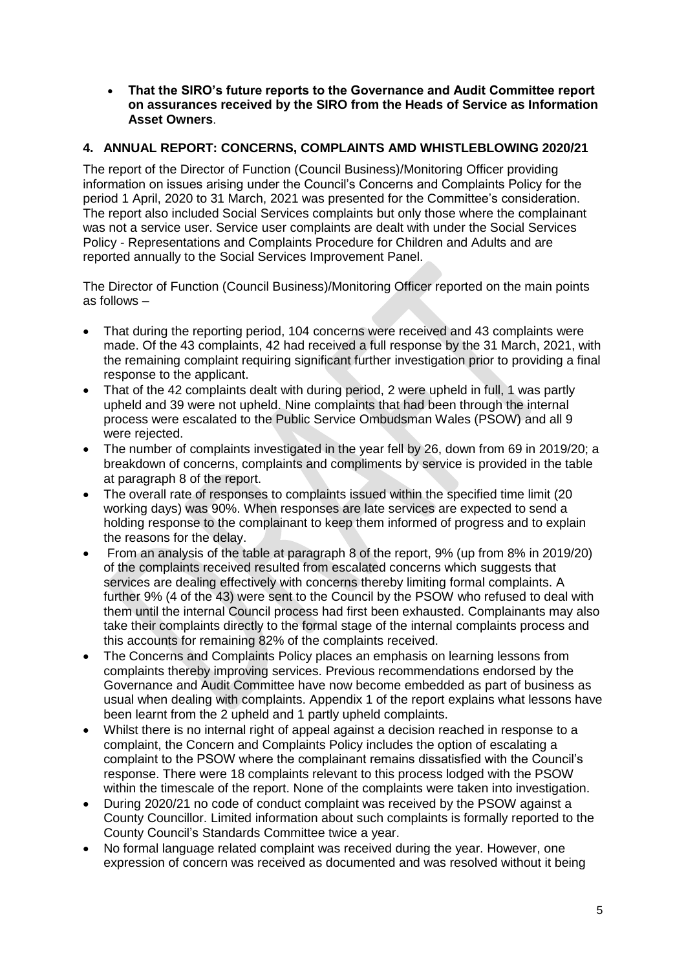**That the SIRO's future reports to the Governance and Audit Committee report on assurances received by the SIRO from the Heads of Service as Information Asset Owners**.

# **4. ANNUAL REPORT: CONCERNS, COMPLAINTS AMD WHISTLEBLOWING 2020/21**

The report of the Director of Function (Council Business)/Monitoring Officer providing information on issues arising under the Council's Concerns and Complaints Policy for the period 1 April, 2020 to 31 March, 2021 was presented for the Committee's consideration. The report also included Social Services complaints but only those where the complainant was not a service user. Service user complaints are dealt with under the Social Services Policy - Representations and Complaints Procedure for Children and Adults and are reported annually to the Social Services Improvement Panel.

The Director of Function (Council Business)/Monitoring Officer reported on the main points as follows –

- That during the reporting period, 104 concerns were received and 43 complaints were made. Of the 43 complaints, 42 had received a full response by the 31 March, 2021, with the remaining complaint requiring significant further investigation prior to providing a final response to the applicant.
- That of the 42 complaints dealt with during period, 2 were upheld in full, 1 was partly upheld and 39 were not upheld. Nine complaints that had been through the internal process were escalated to the Public Service Ombudsman Wales (PSOW) and all 9 were rejected.
- The number of complaints investigated in the year fell by 26, down from 69 in 2019/20; a breakdown of concerns, complaints and compliments by service is provided in the table at paragraph 8 of the report.
- The overall rate of responses to complaints issued within the specified time limit (20 working days) was 90%. When responses are late services are expected to send a holding response to the complainant to keep them informed of progress and to explain the reasons for the delay.
- From an analysis of the table at paragraph 8 of the report, 9% (up from 8% in 2019/20) of the complaints received resulted from escalated concerns which suggests that services are dealing effectively with concerns thereby limiting formal complaints. A further 9% (4 of the 43) were sent to the Council by the PSOW who refused to deal with them until the internal Council process had first been exhausted. Complainants may also take their complaints directly to the formal stage of the internal complaints process and this accounts for remaining 82% of the complaints received.
- The Concerns and Complaints Policy places an emphasis on learning lessons from complaints thereby improving services. Previous recommendations endorsed by the Governance and Audit Committee have now become embedded as part of business as usual when dealing with complaints. Appendix 1 of the report explains what lessons have been learnt from the 2 upheld and 1 partly upheld complaints.
- Whilst there is no internal right of appeal against a decision reached in response to a complaint, the Concern and Complaints Policy includes the option of escalating a complaint to the PSOW where the complainant remains dissatisfied with the Council's response. There were 18 complaints relevant to this process lodged with the PSOW within the timescale of the report. None of the complaints were taken into investigation.
- During 2020/21 no code of conduct complaint was received by the PSOW against a County Councillor. Limited information about such complaints is formally reported to the County Council's Standards Committee twice a year.
- No formal language related complaint was received during the year. However, one expression of concern was received as documented and was resolved without it being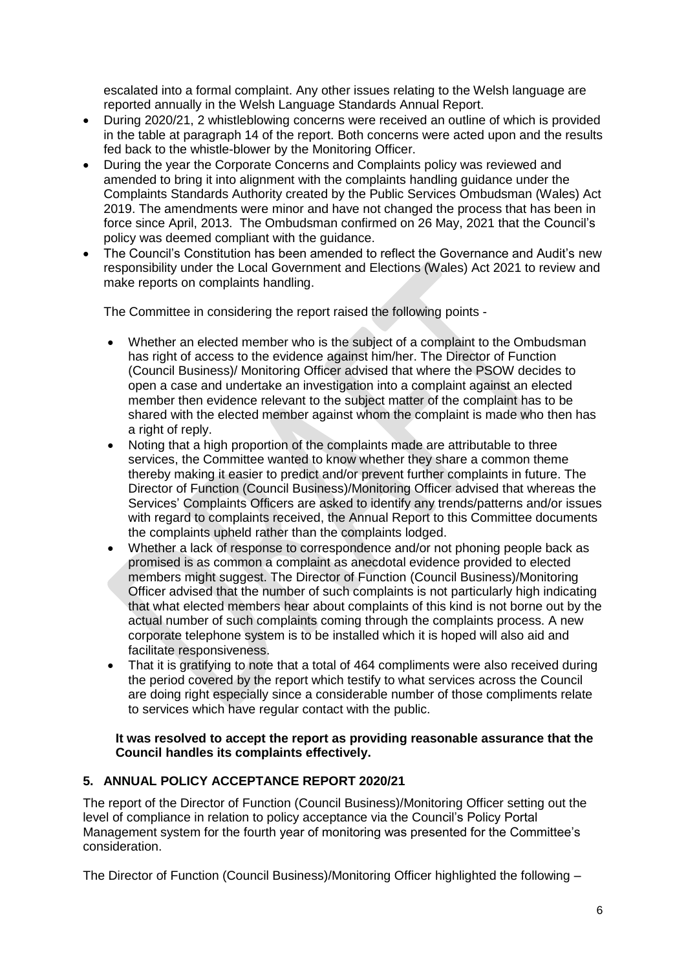escalated into a formal complaint. Any other issues relating to the Welsh language are reported annually in the Welsh Language Standards Annual Report.

- During 2020/21, 2 whistleblowing concerns were received an outline of which is provided in the table at paragraph 14 of the report. Both concerns were acted upon and the results fed back to the whistle-blower by the Monitoring Officer.
- During the year the Corporate Concerns and Complaints policy was reviewed and amended to bring it into alignment with the complaints handling guidance under the Complaints Standards Authority created by the Public Services Ombudsman (Wales) Act 2019. The amendments were minor and have not changed the process that has been in force since April, 2013. The Ombudsman confirmed on 26 May, 2021 that the Council's policy was deemed compliant with the guidance.
- The Council's Constitution has been amended to reflect the Governance and Audit's new responsibility under the Local Government and Elections (Wales) Act 2021 to review and make reports on complaints handling.

The Committee in considering the report raised the following points -

- Whether an elected member who is the subject of a complaint to the Ombudsman has right of access to the evidence against him/her. The Director of Function (Council Business)/ Monitoring Officer advised that where the PSOW decides to open a case and undertake an investigation into a complaint against an elected member then evidence relevant to the subject matter of the complaint has to be shared with the elected member against whom the complaint is made who then has a right of reply.
- Noting that a high proportion of the complaints made are attributable to three services, the Committee wanted to know whether they share a common theme thereby making it easier to predict and/or prevent further complaints in future. The Director of Function (Council Business)/Monitoring Officer advised that whereas the Services' Complaints Officers are asked to identify any trends/patterns and/or issues with regard to complaints received, the Annual Report to this Committee documents the complaints upheld rather than the complaints lodged.
- Whether a lack of response to correspondence and/or not phoning people back as promised is as common a complaint as anecdotal evidence provided to elected members might suggest. The Director of Function (Council Business)/Monitoring Officer advised that the number of such complaints is not particularly high indicating that what elected members hear about complaints of this kind is not borne out by the actual number of such complaints coming through the complaints process. A new corporate telephone system is to be installed which it is hoped will also aid and facilitate responsiveness.
- That it is gratifying to note that a total of 464 compliments were also received during the period covered by the report which testify to what services across the Council are doing right especially since a considerable number of those compliments relate to services which have regular contact with the public.

## **It was resolved to accept the report as providing reasonable assurance that the Council handles its complaints effectively.**

# **5. ANNUAL POLICY ACCEPTANCE REPORT 2020/21**

The report of the Director of Function (Council Business)/Monitoring Officer setting out the level of compliance in relation to policy acceptance via the Council's Policy Portal Management system for the fourth year of monitoring was presented for the Committee's consideration.

The Director of Function (Council Business)/Monitoring Officer highlighted the following –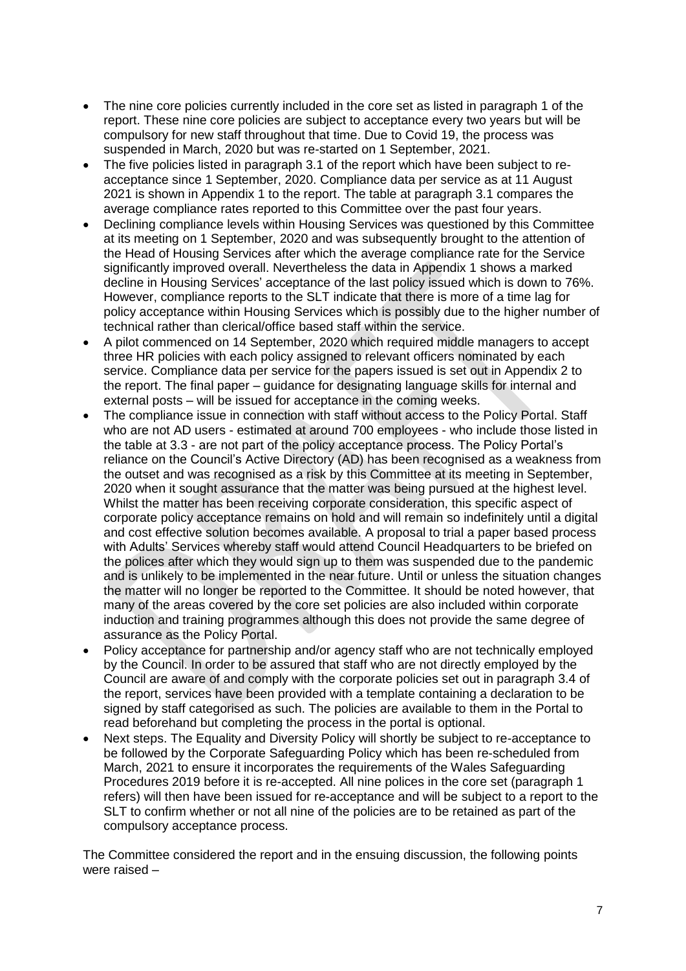- The nine core policies currently included in the core set as listed in paragraph 1 of the report. These nine core policies are subject to acceptance every two years but will be compulsory for new staff throughout that time. Due to Covid 19, the process was suspended in March, 2020 but was re-started on 1 September, 2021.
- The five policies listed in paragraph 3.1 of the report which have been subject to reacceptance since 1 September, 2020. Compliance data per service as at 11 August 2021 is shown in Appendix 1 to the report. The table at paragraph 3.1 compares the average compliance rates reported to this Committee over the past four years.
- Declining compliance levels within Housing Services was questioned by this Committee at its meeting on 1 September, 2020 and was subsequently brought to the attention of the Head of Housing Services after which the average compliance rate for the Service significantly improved overall. Nevertheless the data in Appendix 1 shows a marked decline in Housing Services' acceptance of the last policy issued which is down to 76%. However, compliance reports to the SLT indicate that there is more of a time lag for policy acceptance within Housing Services which is possibly due to the higher number of technical rather than clerical/office based staff within the service.
- A pilot commenced on 14 September, 2020 which required middle managers to accept three HR policies with each policy assigned to relevant officers nominated by each service. Compliance data per service for the papers issued is set out in Appendix 2 to the report. The final paper – guidance for designating language skills for internal and external posts – will be issued for acceptance in the coming weeks.
- The compliance issue in connection with staff without access to the Policy Portal. Staff who are not AD users - estimated at around 700 employees - who include those listed in the table at 3.3 - are not part of the policy acceptance process. The Policy Portal's reliance on the Council's Active Directory (AD) has been recognised as a weakness from the outset and was recognised as a risk by this Committee at its meeting in September, 2020 when it sought assurance that the matter was being pursued at the highest level. Whilst the matter has been receiving corporate consideration, this specific aspect of corporate policy acceptance remains on hold and will remain so indefinitely until a digital and cost effective solution becomes available. A proposal to trial a paper based process with Adults' Services whereby staff would attend Council Headquarters to be briefed on the polices after which they would sign up to them was suspended due to the pandemic and is unlikely to be implemented in the near future. Until or unless the situation changes the matter will no longer be reported to the Committee. It should be noted however, that many of the areas covered by the core set policies are also included within corporate induction and training programmes although this does not provide the same degree of assurance as the Policy Portal.
- Policy acceptance for partnership and/or agency staff who are not technically employed by the Council. In order to be assured that staff who are not directly employed by the Council are aware of and comply with the corporate policies set out in paragraph 3.4 of the report, services have been provided with a template containing a declaration to be signed by staff categorised as such. The policies are available to them in the Portal to read beforehand but completing the process in the portal is optional.
- Next steps. The Equality and Diversity Policy will shortly be subject to re-acceptance to be followed by the Corporate Safeguarding Policy which has been re-scheduled from March, 2021 to ensure it incorporates the requirements of the Wales Safeguarding Procedures 2019 before it is re-accepted. All nine polices in the core set (paragraph 1 refers) will then have been issued for re-acceptance and will be subject to a report to the SLT to confirm whether or not all nine of the policies are to be retained as part of the compulsory acceptance process.

The Committee considered the report and in the ensuing discussion, the following points were raised –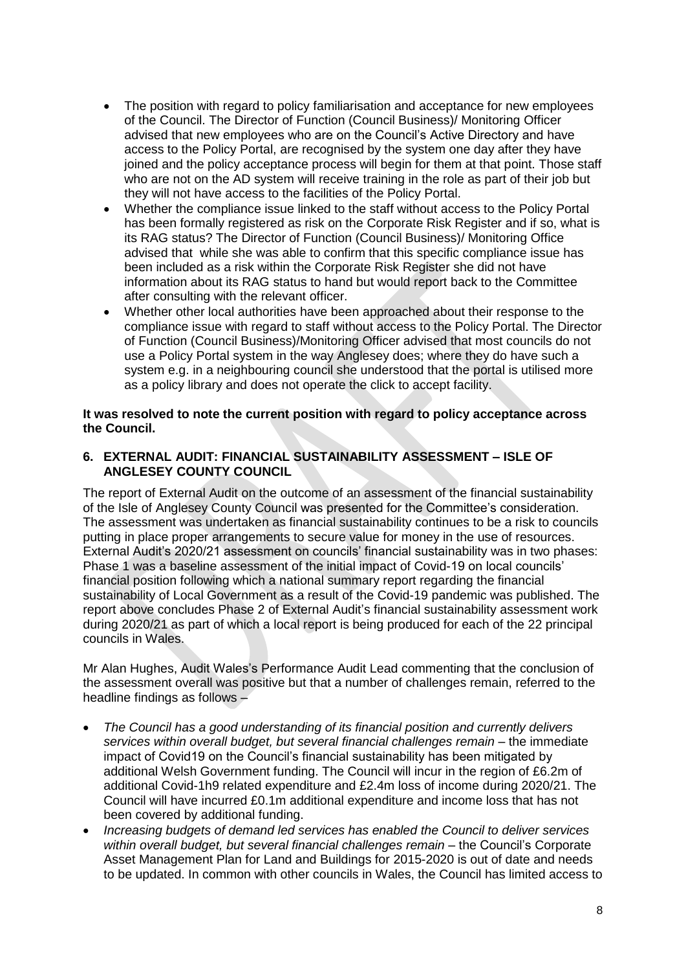- The position with regard to policy familiarisation and acceptance for new employees of the Council. The Director of Function (Council Business)/ Monitoring Officer advised that new employees who are on the Council's Active Directory and have access to the Policy Portal, are recognised by the system one day after they have joined and the policy acceptance process will begin for them at that point. Those staff who are not on the AD system will receive training in the role as part of their job but they will not have access to the facilities of the Policy Portal.
- Whether the compliance issue linked to the staff without access to the Policy Portal has been formally registered as risk on the Corporate Risk Register and if so, what is its RAG status? The Director of Function (Council Business)/ Monitoring Office advised that while she was able to confirm that this specific compliance issue has been included as a risk within the Corporate Risk Register she did not have information about its RAG status to hand but would report back to the Committee after consulting with the relevant officer.
- Whether other local authorities have been approached about their response to the compliance issue with regard to staff without access to the Policy Portal. The Director of Function (Council Business)/Monitoring Officer advised that most councils do not use a Policy Portal system in the way Anglesey does; where they do have such a system e.g. in a neighbouring council she understood that the portal is utilised more as a policy library and does not operate the click to accept facility.

## **It was resolved to note the current position with regard to policy acceptance across the Council.**

## **6. EXTERNAL AUDIT: FINANCIAL SUSTAINABILITY ASSESSMENT – ISLE OF ANGLESEY COUNTY COUNCIL**

The report of External Audit on the outcome of an assessment of the financial sustainability of the Isle of Anglesey County Council was presented for the Committee's consideration. The assessment was undertaken as financial sustainability continues to be a risk to councils putting in place proper arrangements to secure value for money in the use of resources. External Audit's 2020/21 assessment on councils' financial sustainability was in two phases: Phase 1 was a baseline assessment of the initial impact of Covid-19 on local councils' financial position following which a national summary report regarding the financial sustainability of Local Government as a result of the Covid-19 pandemic was published. The report above concludes Phase 2 of External Audit's financial sustainability assessment work during 2020/21 as part of which a local report is being produced for each of the 22 principal councils in Wales.

Mr Alan Hughes, Audit Wales's Performance Audit Lead commenting that the conclusion of the assessment overall was positive but that a number of challenges remain, referred to the headline findings as follows –

- *The Council has a good understanding of its financial position and currently delivers services within overall budget, but several financial challenges remain* – the immediate impact of Covid19 on the Council's financial sustainability has been mitigated by additional Welsh Government funding. The Council will incur in the region of £6.2m of additional Covid-1h9 related expenditure and £2.4m loss of income during 2020/21. The Council will have incurred £0.1m additional expenditure and income loss that has not been covered by additional funding.
- *Increasing budgets of demand led services has enabled the Council to deliver services within overall budget, but several financial challenges remain –* the Council's Corporate Asset Management Plan for Land and Buildings for 2015-2020 is out of date and needs to be updated. In common with other councils in Wales, the Council has limited access to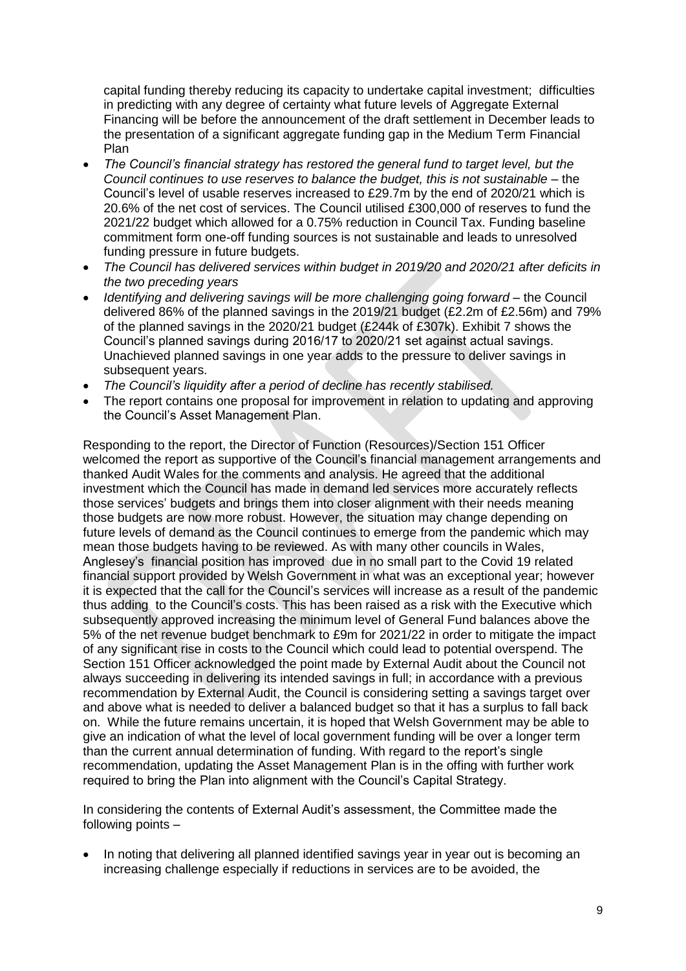capital funding thereby reducing its capacity to undertake capital investment; difficulties in predicting with any degree of certainty what future levels of Aggregate External Financing will be before the announcement of the draft settlement in December leads to the presentation of a significant aggregate funding gap in the Medium Term Financial Plan

- *The Council's financial strategy has restored the general fund to target level, but the Council continues to use reserves to balance the budget, this is not sustainable –* the Council's level of usable reserves increased to £29.7m by the end of 2020/21 which is 20.6% of the net cost of services. The Council utilised £300,000 of reserves to fund the 2021/22 budget which allowed for a 0.75% reduction in Council Tax. Funding baseline commitment form one-off funding sources is not sustainable and leads to unresolved funding pressure in future budgets.
- *The Council has delivered services within budget in 2019/20 and 2020/21 after deficits in the two preceding years*
- *Identifying and delivering savings will be more challenging going forward –* the Council delivered 86% of the planned savings in the 2019/21 budget (£2.2m of £2.56m) and 79% of the planned savings in the 2020/21 budget (£244k of £307k). Exhibit 7 shows the Council's planned savings during 2016/17 to 2020/21 set against actual savings. Unachieved planned savings in one year adds to the pressure to deliver savings in subsequent years.
- *The Council's liquidity after a period of decline has recently stabilised.*
- The report contains one proposal for improvement in relation to updating and approving the Council's Asset Management Plan.

Responding to the report, the Director of Function (Resources)/Section 151 Officer welcomed the report as supportive of the Council's financial management arrangements and thanked Audit Wales for the comments and analysis. He agreed that the additional investment which the Council has made in demand led services more accurately reflects those services' budgets and brings them into closer alignment with their needs meaning those budgets are now more robust. However, the situation may change depending on future levels of demand as the Council continues to emerge from the pandemic which may mean those budgets having to be reviewed. As with many other councils in Wales, Anglesey's financial position has improved due in no small part to the Covid 19 related financial support provided by Welsh Government in what was an exceptional year; however it is expected that the call for the Council's services will increase as a result of the pandemic thus adding to the Council's costs. This has been raised as a risk with the Executive which subsequently approved increasing the minimum level of General Fund balances above the 5% of the net revenue budget benchmark to £9m for 2021/22 in order to mitigate the impact of any significant rise in costs to the Council which could lead to potential overspend. The Section 151 Officer acknowledged the point made by External Audit about the Council not always succeeding in delivering its intended savings in full; in accordance with a previous recommendation by External Audit, the Council is considering setting a savings target over and above what is needed to deliver a balanced budget so that it has a surplus to fall back on. While the future remains uncertain, it is hoped that Welsh Government may be able to give an indication of what the level of local government funding will be over a longer term than the current annual determination of funding. With regard to the report's single recommendation, updating the Asset Management Plan is in the offing with further work required to bring the Plan into alignment with the Council's Capital Strategy.

In considering the contents of External Audit's assessment, the Committee made the following points –

 In noting that delivering all planned identified savings year in year out is becoming an increasing challenge especially if reductions in services are to be avoided, the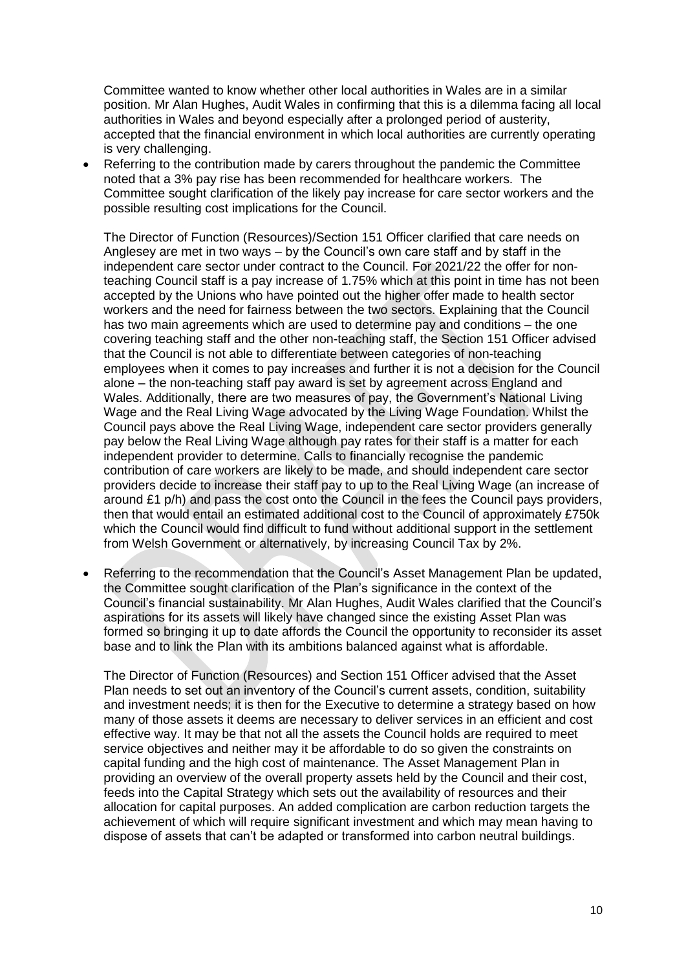Committee wanted to know whether other local authorities in Wales are in a similar position. Mr Alan Hughes, Audit Wales in confirming that this is a dilemma facing all local authorities in Wales and beyond especially after a prolonged period of austerity, accepted that the financial environment in which local authorities are currently operating is very challenging.

 Referring to the contribution made by carers throughout the pandemic the Committee noted that a 3% pay rise has been recommended for healthcare workers. The Committee sought clarification of the likely pay increase for care sector workers and the possible resulting cost implications for the Council.

The Director of Function (Resources)/Section 151 Officer clarified that care needs on Anglesey are met in two ways – by the Council's own care staff and by staff in the independent care sector under contract to the Council. For 2021/22 the offer for nonteaching Council staff is a pay increase of 1.75% which at this point in time has not been accepted by the Unions who have pointed out the higher offer made to health sector workers and the need for fairness between the two sectors. Explaining that the Council has two main agreements which are used to determine pay and conditions – the one covering teaching staff and the other non-teaching staff, the Section 151 Officer advised that the Council is not able to differentiate between categories of non-teaching employees when it comes to pay increases and further it is not a decision for the Council alone – the non-teaching staff pay award is set by agreement across England and Wales. Additionally, there are two measures of pay, the Government's National Living Wage and the Real Living Wage advocated by the Living Wage Foundation. Whilst the Council pays above the Real Living Wage, independent care sector providers generally pay below the Real Living Wage although pay rates for their staff is a matter for each independent provider to determine. Calls to financially recognise the pandemic contribution of care workers are likely to be made, and should independent care sector providers decide to increase their staff pay to up to the Real Living Wage (an increase of around £1 p/h) and pass the cost onto the Council in the fees the Council pays providers, then that would entail an estimated additional cost to the Council of approximately £750k which the Council would find difficult to fund without additional support in the settlement from Welsh Government or alternatively, by increasing Council Tax by 2%.

 Referring to the recommendation that the Council's Asset Management Plan be updated, the Committee sought clarification of the Plan's significance in the context of the Council's financial sustainability. Mr Alan Hughes, Audit Wales clarified that the Council's aspirations for its assets will likely have changed since the existing Asset Plan was formed so bringing it up to date affords the Council the opportunity to reconsider its asset base and to link the Plan with its ambitions balanced against what is affordable.

The Director of Function (Resources) and Section 151 Officer advised that the Asset Plan needs to set out an inventory of the Council's current assets, condition, suitability and investment needs; it is then for the Executive to determine a strategy based on how many of those assets it deems are necessary to deliver services in an efficient and cost effective way. It may be that not all the assets the Council holds are required to meet service objectives and neither may it be affordable to do so given the constraints on capital funding and the high cost of maintenance. The Asset Management Plan in providing an overview of the overall property assets held by the Council and their cost, feeds into the Capital Strategy which sets out the availability of resources and their allocation for capital purposes. An added complication are carbon reduction targets the achievement of which will require significant investment and which may mean having to dispose of assets that can't be adapted or transformed into carbon neutral buildings.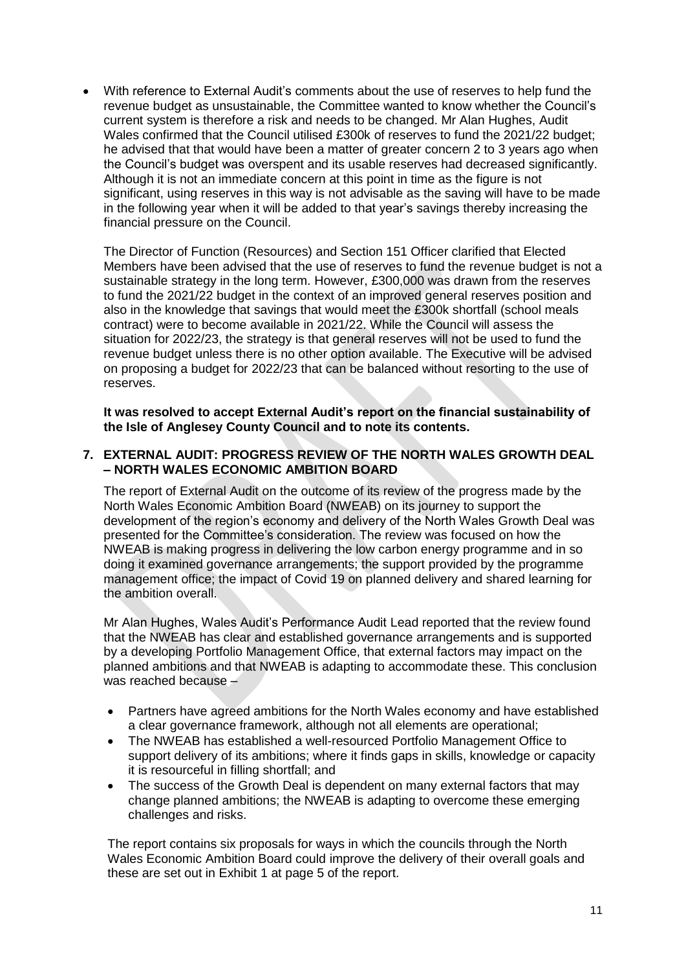With reference to External Audit's comments about the use of reserves to help fund the revenue budget as unsustainable, the Committee wanted to know whether the Council's current system is therefore a risk and needs to be changed. Mr Alan Hughes, Audit Wales confirmed that the Council utilised £300k of reserves to fund the 2021/22 budget; he advised that that would have been a matter of greater concern 2 to 3 years ago when the Council's budget was overspent and its usable reserves had decreased significantly. Although it is not an immediate concern at this point in time as the figure is not significant, using reserves in this way is not advisable as the saving will have to be made in the following year when it will be added to that year's savings thereby increasing the financial pressure on the Council.

The Director of Function (Resources) and Section 151 Officer clarified that Elected Members have been advised that the use of reserves to fund the revenue budget is not a sustainable strategy in the long term. However, £300,000 was drawn from the reserves to fund the 2021/22 budget in the context of an improved general reserves position and also in the knowledge that savings that would meet the £300k shortfall (school meals contract) were to become available in 2021/22. While the Council will assess the situation for 2022/23, the strategy is that general reserves will not be used to fund the revenue budget unless there is no other option available. The Executive will be advised on proposing a budget for 2022/23 that can be balanced without resorting to the use of reserves.

**It was resolved to accept External Audit's report on the financial sustainability of the Isle of Anglesey County Council and to note its contents.**

#### **7. EXTERNAL AUDIT: PROGRESS REVIEW OF THE NORTH WALES GROWTH DEAL – NORTH WALES ECONOMIC AMBITION BOARD**

The report of External Audit on the outcome of its review of the progress made by the North Wales Economic Ambition Board (NWEAB) on its journey to support the development of the region's economy and delivery of the North Wales Growth Deal was presented for the Committee's consideration. The review was focused on how the NWEAB is making progress in delivering the low carbon energy programme and in so doing it examined governance arrangements; the support provided by the programme management office; the impact of Covid 19 on planned delivery and shared learning for the ambition overall.

Mr Alan Hughes, Wales Audit's Performance Audit Lead reported that the review found that the NWEAB has clear and established governance arrangements and is supported by a developing Portfolio Management Office, that external factors may impact on the planned ambitions and that NWEAB is adapting to accommodate these. This conclusion was reached because –

- Partners have agreed ambitions for the North Wales economy and have established a clear governance framework, although not all elements are operational;
- The NWEAB has established a well-resourced Portfolio Management Office to support delivery of its ambitions; where it finds gaps in skills, knowledge or capacity it is resourceful in filling shortfall; and
- The success of the Growth Deal is dependent on many external factors that may change planned ambitions; the NWEAB is adapting to overcome these emerging challenges and risks.

The report contains six proposals for ways in which the councils through the North Wales Economic Ambition Board could improve the delivery of their overall goals and these are set out in Exhibit 1 at page 5 of the report.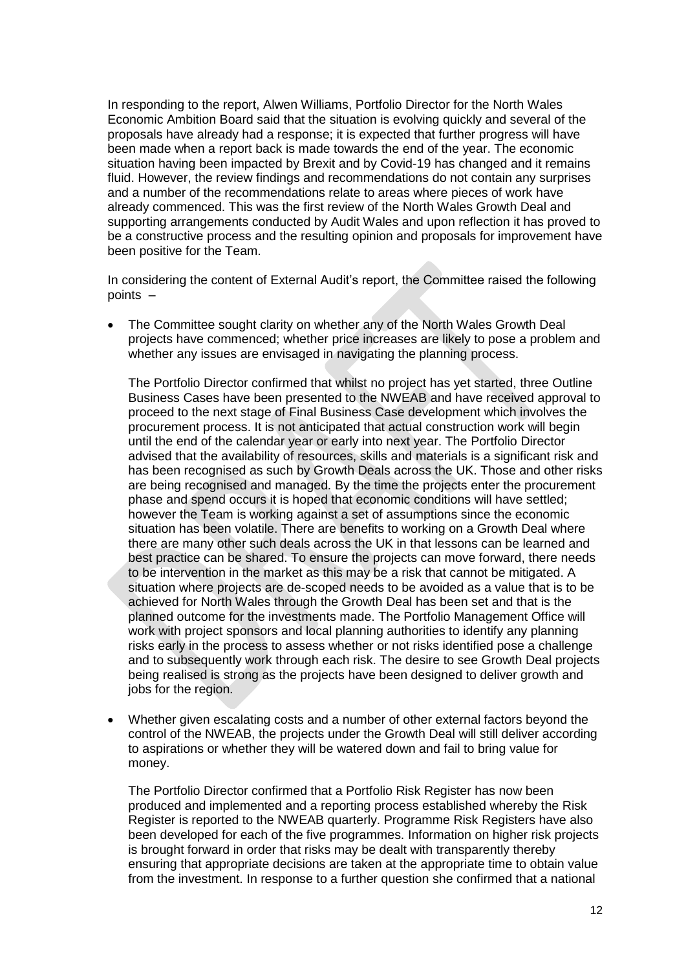In responding to the report, Alwen Williams, Portfolio Director for the North Wales Economic Ambition Board said that the situation is evolving quickly and several of the proposals have already had a response; it is expected that further progress will have been made when a report back is made towards the end of the year. The economic situation having been impacted by Brexit and by Covid-19 has changed and it remains fluid. However, the review findings and recommendations do not contain any surprises and a number of the recommendations relate to areas where pieces of work have already commenced. This was the first review of the North Wales Growth Deal and supporting arrangements conducted by Audit Wales and upon reflection it has proved to be a constructive process and the resulting opinion and proposals for improvement have been positive for the Team.

In considering the content of External Audit's report, the Committee raised the following points –

• The Committee sought clarity on whether any of the North Wales Growth Deal projects have commenced; whether price increases are likely to pose a problem and whether any issues are envisaged in navigating the planning process.

The Portfolio Director confirmed that whilst no project has yet started, three Outline Business Cases have been presented to the NWEAB and have received approval to proceed to the next stage of Final Business Case development which involves the procurement process. It is not anticipated that actual construction work will begin until the end of the calendar year or early into next year. The Portfolio Director advised that the availability of resources, skills and materials is a significant risk and has been recognised as such by Growth Deals across the UK. Those and other risks are being recognised and managed. By the time the projects enter the procurement phase and spend occurs it is hoped that economic conditions will have settled; however the Team is working against a set of assumptions since the economic situation has been volatile. There are benefits to working on a Growth Deal where there are many other such deals across the UK in that lessons can be learned and best practice can be shared. To ensure the projects can move forward, there needs to be intervention in the market as this may be a risk that cannot be mitigated. A situation where projects are de-scoped needs to be avoided as a value that is to be achieved for North Wales through the Growth Deal has been set and that is the planned outcome for the investments made. The Portfolio Management Office will work with project sponsors and local planning authorities to identify any planning risks early in the process to assess whether or not risks identified pose a challenge and to subsequently work through each risk. The desire to see Growth Deal projects being realised is strong as the projects have been designed to deliver growth and jobs for the region.

 Whether given escalating costs and a number of other external factors beyond the control of the NWEAB, the projects under the Growth Deal will still deliver according to aspirations or whether they will be watered down and fail to bring value for money.

The Portfolio Director confirmed that a Portfolio Risk Register has now been produced and implemented and a reporting process established whereby the Risk Register is reported to the NWEAB quarterly. Programme Risk Registers have also been developed for each of the five programmes. Information on higher risk projects is brought forward in order that risks may be dealt with transparently thereby ensuring that appropriate decisions are taken at the appropriate time to obtain value from the investment. In response to a further question she confirmed that a national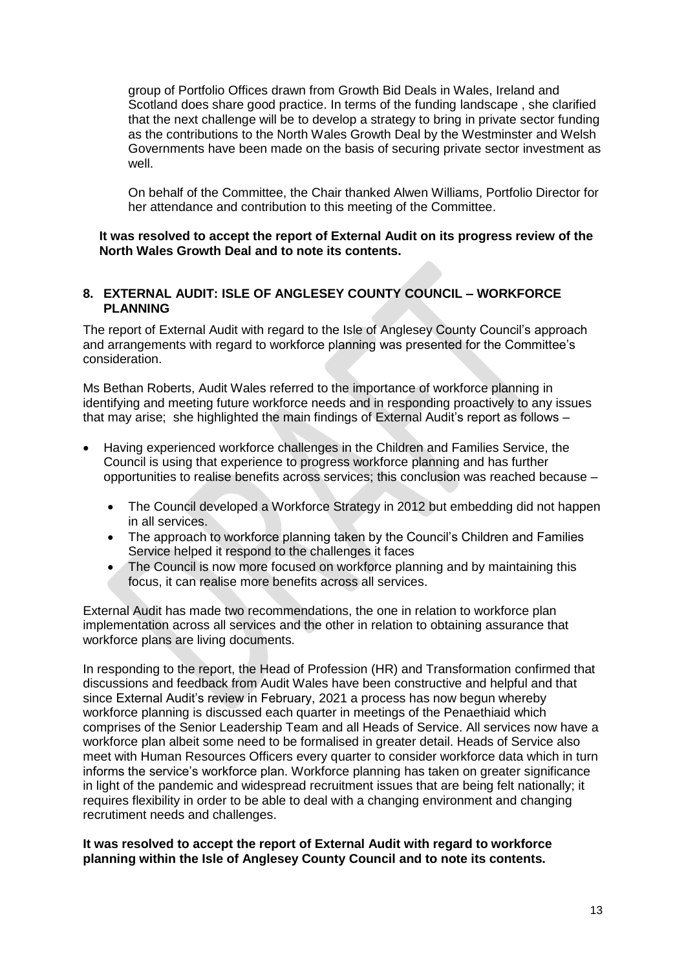group of Portfolio Offices drawn from Growth Bid Deals in Wales, Ireland and Scotland does share good practice. In terms of the funding landscape , she clarified that the next challenge will be to develop a strategy to bring in private sector funding as the contributions to the North Wales Growth Deal by the Westminster and Welsh Governments have been made on the basis of securing private sector investment as well.

On behalf of the Committee, the Chair thanked Alwen Williams, Portfolio Director for her attendance and contribution to this meeting of the Committee.

### **It was resolved to accept the report of External Audit on its progress review of the North Wales Growth Deal and to note its contents.**

## **8. EXTERNAL AUDIT: ISLE OF ANGLESEY COUNTY COUNCIL – WORKFORCE PLANNING**

The report of External Audit with regard to the Isle of Anglesey County Council's approach and arrangements with regard to workforce planning was presented for the Committee's consideration.

Ms Bethan Roberts, Audit Wales referred to the importance of workforce planning in identifying and meeting future workforce needs and in responding proactively to any issues that may arise; she highlighted the main findings of External Audit's report as follows –

- Having experienced workforce challenges in the Children and Families Service, the Council is using that experience to progress workforce planning and has further opportunities to realise benefits across services; this conclusion was reached because –
	- The Council developed a Workforce Strategy in 2012 but embedding did not happen in all services.
	- The approach to workforce planning taken by the Council's Children and Families Service helped it respond to the challenges it faces
	- The Council is now more focused on workforce planning and by maintaining this focus, it can realise more benefits across all services.

External Audit has made two recommendations, the one in relation to workforce plan implementation across all services and the other in relation to obtaining assurance that workforce plans are living documents.

In responding to the report, the Head of Profession (HR) and Transformation confirmed that discussions and feedback from Audit Wales have been constructive and helpful and that since External Audit's review in February, 2021 a process has now begun whereby workforce planning is discussed each quarter in meetings of the Penaethiaid which comprises of the Senior Leadership Team and all Heads of Service. All services now have a workforce plan albeit some need to be formalised in greater detail. Heads of Service also meet with Human Resources Officers every quarter to consider workforce data which in turn informs the service's workforce plan. Workforce planning has taken on greater significance in light of the pandemic and widespread recruitment issues that are being felt nationally; it requires flexibility in order to be able to deal with a changing environment and changing recrutiment needs and challenges.

#### **It was resolved to accept the report of External Audit with regard to workforce planning within the Isle of Anglesey County Council and to note its contents.**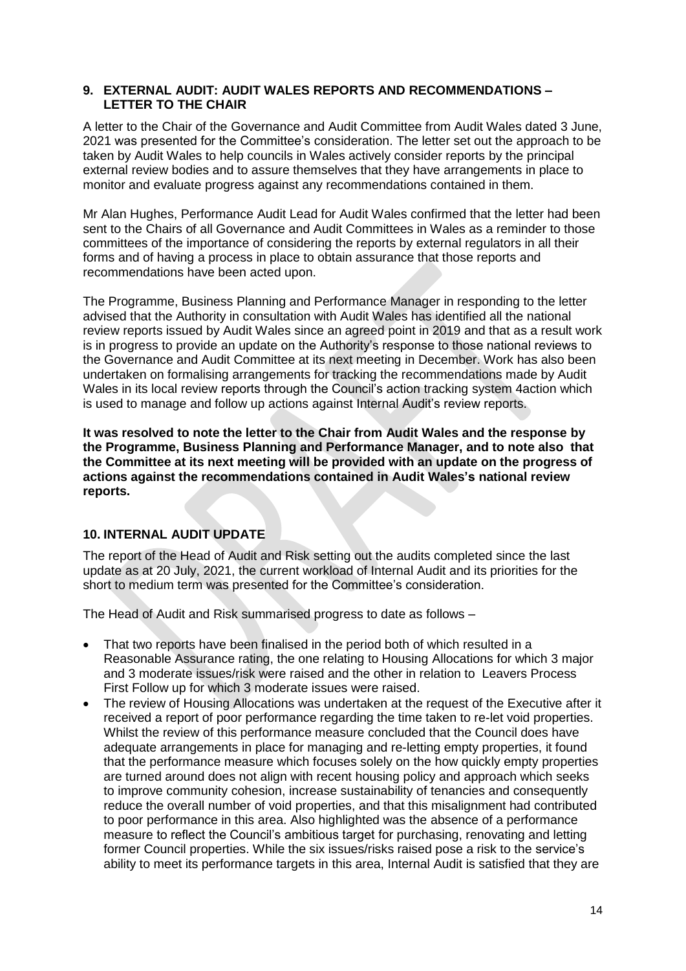#### **9. EXTERNAL AUDIT: AUDIT WALES REPORTS AND RECOMMENDATIONS – LETTER TO THE CHAIR**

A letter to the Chair of the Governance and Audit Committee from Audit Wales dated 3 June, 2021 was presented for the Committee's consideration. The letter set out the approach to be taken by Audit Wales to help councils in Wales actively consider reports by the principal external review bodies and to assure themselves that they have arrangements in place to monitor and evaluate progress against any recommendations contained in them.

Mr Alan Hughes, Performance Audit Lead for Audit Wales confirmed that the letter had been sent to the Chairs of all Governance and Audit Committees in Wales as a reminder to those committees of the importance of considering the reports by external regulators in all their forms and of having a process in place to obtain assurance that those reports and recommendations have been acted upon.

The Programme, Business Planning and Performance Manager in responding to the letter advised that the Authority in consultation with Audit Wales has identified all the national review reports issued by Audit Wales since an agreed point in 2019 and that as a result work is in progress to provide an update on the Authority's response to those national reviews to the Governance and Audit Committee at its next meeting in December. Work has also been undertaken on formalising arrangements for tracking the recommendations made by Audit Wales in its local review reports through the Council's action tracking system 4action which is used to manage and follow up actions against Internal Audit's review reports.

**It was resolved to note the letter to the Chair from Audit Wales and the response by the Programme, Business Planning and Performance Manager, and to note also that the Committee at its next meeting will be provided with an update on the progress of actions against the recommendations contained in Audit Wales's national review reports.**

# **10. INTERNAL AUDIT UPDATE**

The report of the Head of Audit and Risk setting out the audits completed since the last update as at 20 July, 2021, the current workload of Internal Audit and its priorities for the short to medium term was presented for the Committee's consideration.

The Head of Audit and Risk summarised progress to date as follows –

- That two reports have been finalised in the period both of which resulted in a Reasonable Assurance rating, the one relating to Housing Allocations for which 3 major and 3 moderate issues/risk were raised and the other in relation to Leavers Process First Follow up for which 3 moderate issues were raised.
- The review of Housing Allocations was undertaken at the request of the Executive after it received a report of poor performance regarding the time taken to re-let void properties. Whilst the review of this performance measure concluded that the Council does have adequate arrangements in place for managing and re-letting empty properties, it found that the performance measure which focuses solely on the how quickly empty properties are turned around does not align with recent housing policy and approach which seeks to improve community cohesion, increase sustainability of tenancies and consequently reduce the overall number of void properties, and that this misalignment had contributed to poor performance in this area. Also highlighted was the absence of a performance measure to reflect the Council's ambitious target for purchasing, renovating and letting former Council properties. While the six issues/risks raised pose a risk to the service's ability to meet its performance targets in this area, Internal Audit is satisfied that they are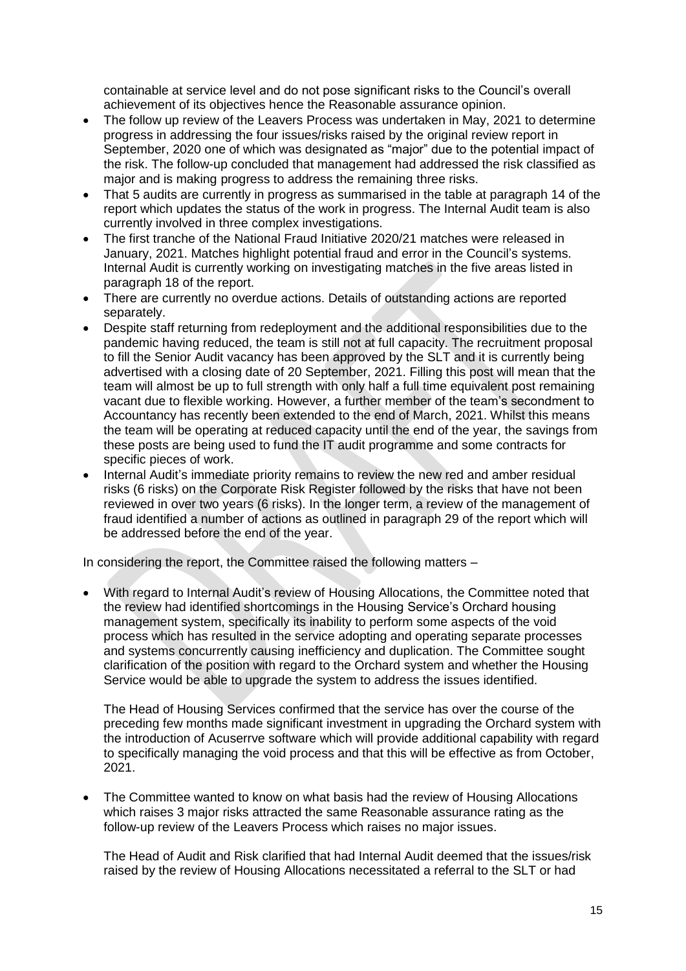containable at service level and do not pose significant risks to the Council's overall achievement of its objectives hence the Reasonable assurance opinion.

- The follow up review of the Leavers Process was undertaken in May, 2021 to determine progress in addressing the four issues/risks raised by the original review report in September, 2020 one of which was designated as "major" due to the potential impact of the risk. The follow-up concluded that management had addressed the risk classified as major and is making progress to address the remaining three risks.
- That 5 audits are currently in progress as summarised in the table at paragraph 14 of the report which updates the status of the work in progress. The Internal Audit team is also currently involved in three complex investigations.
- The first tranche of the National Fraud Initiative 2020/21 matches were released in January, 2021. Matches highlight potential fraud and error in the Council's systems. Internal Audit is currently working on investigating matches in the five areas listed in paragraph 18 of the report.
- There are currently no overdue actions. Details of outstanding actions are reported separately.
- Despite staff returning from redeployment and the additional responsibilities due to the pandemic having reduced, the team is still not at full capacity. The recruitment proposal to fill the Senior Audit vacancy has been approved by the SLT and it is currently being advertised with a closing date of 20 September, 2021. Filling this post will mean that the team will almost be up to full strength with only half a full time equivalent post remaining vacant due to flexible working. However, a further member of the team's secondment to Accountancy has recently been extended to the end of March, 2021. Whilst this means the team will be operating at reduced capacity until the end of the year, the savings from these posts are being used to fund the IT audit programme and some contracts for specific pieces of work.
- Internal Audit's immediate priority remains to review the new red and amber residual risks (6 risks) on the Corporate Risk Register followed by the risks that have not been reviewed in over two years (6 risks). In the longer term, a review of the management of fraud identified a number of actions as outlined in paragraph 29 of the report which will be addressed before the end of the year.

In considering the report, the Committee raised the following matters –

 With regard to Internal Audit's review of Housing Allocations, the Committee noted that the review had identified shortcomings in the Housing Service's Orchard housing management system, specifically its inability to perform some aspects of the void process which has resulted in the service adopting and operating separate processes and systems concurrently causing inefficiency and duplication. The Committee sought clarification of the position with regard to the Orchard system and whether the Housing Service would be able to upgrade the system to address the issues identified.

The Head of Housing Services confirmed that the service has over the course of the preceding few months made significant investment in upgrading the Orchard system with the introduction of Acuserrve software which will provide additional capability with regard to specifically managing the void process and that this will be effective as from October, 2021.

 The Committee wanted to know on what basis had the review of Housing Allocations which raises 3 major risks attracted the same Reasonable assurance rating as the follow-up review of the Leavers Process which raises no major issues.

The Head of Audit and Risk clarified that had Internal Audit deemed that the issues/risk raised by the review of Housing Allocations necessitated a referral to the SLT or had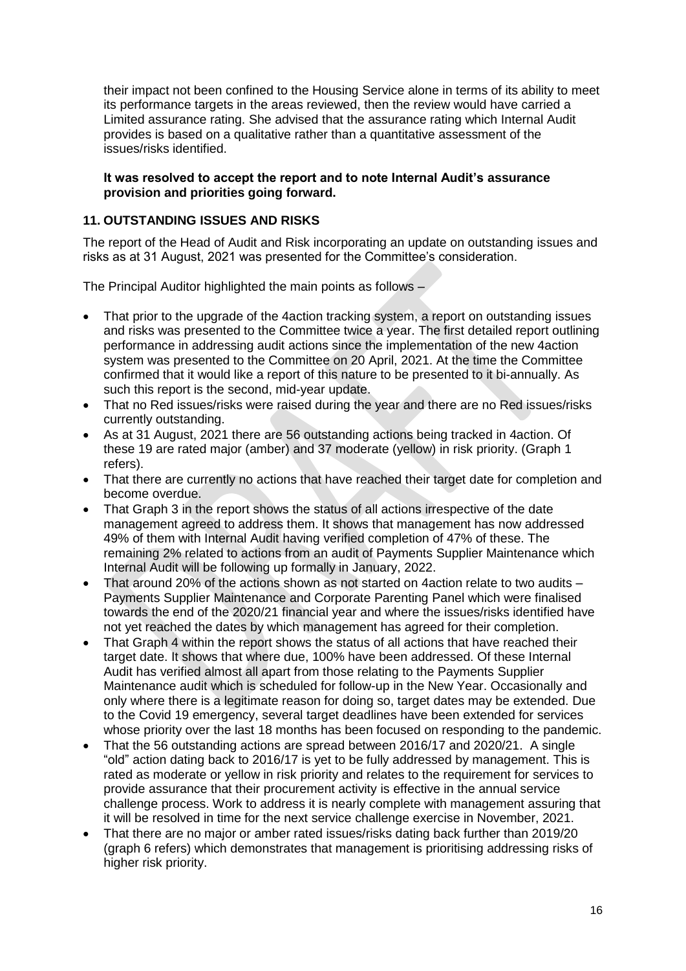their impact not been confined to the Housing Service alone in terms of its ability to meet its performance targets in the areas reviewed, then the review would have carried a Limited assurance rating. She advised that the assurance rating which Internal Audit provides is based on a qualitative rather than a quantitative assessment of the issues/risks identified.

## **It was resolved to accept the report and to note Internal Audit's assurance provision and priorities going forward.**

# **11. OUTSTANDING ISSUES AND RISKS**

The report of the Head of Audit and Risk incorporating an update on outstanding issues and risks as at 31 August, 2021 was presented for the Committee's consideration.

The Principal Auditor highlighted the main points as follows –

- That prior to the upgrade of the 4action tracking system, a report on outstanding issues and risks was presented to the Committee twice a year. The first detailed report outlining performance in addressing audit actions since the implementation of the new 4action system was presented to the Committee on 20 April, 2021. At the time the Committee confirmed that it would like a report of this nature to be presented to it bi-annually. As such this report is the second, mid-year update.
- That no Red issues/risks were raised during the year and there are no Red issues/risks currently outstanding.
- As at 31 August, 2021 there are 56 outstanding actions being tracked in 4action. Of these 19 are rated major (amber) and 37 moderate (yellow) in risk priority. (Graph 1 refers).
- That there are currently no actions that have reached their target date for completion and become overdue.
- That Graph 3 in the report shows the status of all actions irrespective of the date management agreed to address them. It shows that management has now addressed 49% of them with Internal Audit having verified completion of 47% of these. The remaining 2% related to actions from an audit of Payments Supplier Maintenance which Internal Audit will be following up formally in January, 2022.
- That around 20% of the actions shown as not started on 4action relate to two audits Payments Supplier Maintenance and Corporate Parenting Panel which were finalised towards the end of the 2020/21 financial year and where the issues/risks identified have not yet reached the dates by which management has agreed for their completion.
- That Graph 4 within the report shows the status of all actions that have reached their target date. It shows that where due, 100% have been addressed. Of these Internal Audit has verified almost all apart from those relating to the Payments Supplier Maintenance audit which is scheduled for follow-up in the New Year. Occasionally and only where there is a legitimate reason for doing so, target dates may be extended. Due to the Covid 19 emergency, several target deadlines have been extended for services whose priority over the last 18 months has been focused on responding to the pandemic.
- That the 56 outstanding actions are spread between 2016/17 and 2020/21. A single "old" action dating back to 2016/17 is yet to be fully addressed by management. This is rated as moderate or yellow in risk priority and relates to the requirement for services to provide assurance that their procurement activity is effective in the annual service challenge process. Work to address it is nearly complete with management assuring that it will be resolved in time for the next service challenge exercise in November, 2021.
- That there are no major or amber rated issues/risks dating back further than 2019/20 (graph 6 refers) which demonstrates that management is prioritising addressing risks of higher risk priority.